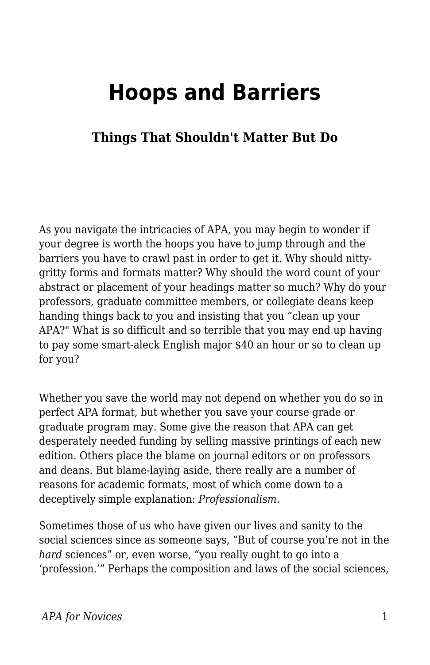# **Hoops and Barriers**

### **Things That Shouldn't Matter But Do**

As you navigate the intricacies of APA, you may begin to wonder if your degree is worth the hoops you have to jump through and the barriers you have to crawl past in order to get it. Why should nittygritty forms and formats matter? Why should the word count of your abstract or placement of your headings matter so much? Why do your professors, graduate committee members, or collegiate deans keep handing things back to you and insisting that you "clean up your APA?" What is so difficult and so terrible that you may end up having to pay some smart-aleck English major \$40 an hour or so to clean up for you?

Whether you save the world may not depend on whether you do so in perfect APA format, but whether you save your course grade or graduate program may. Some give the reason that APA can get desperately needed funding by selling massive printings of each new edition. Others place the blame on journal editors or on professors and deans. But blame-laying aside, there really are a number of reasons for academic formats, most of which come down to a deceptively simple explanation: *Professionalism.*

Sometimes those of us who have given our lives and sanity to the social sciences since as someone says, "But of course you're not in the *hard* sciences" or, even worse, "you really ought to go into a 'profession.'" Perhaps the composition and laws of the social sciences,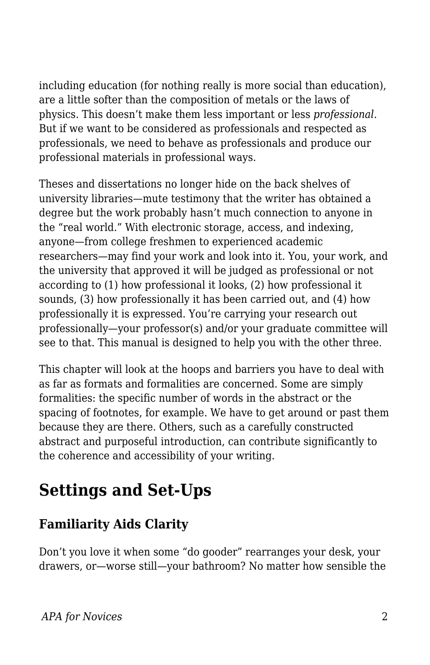including education (for nothing really is more social than education), are a little softer than the composition of metals or the laws of physics. This doesn't make them less important or less *professional*. But if we want to be considered as professionals and respected as professionals, we need to behave as professionals and produce our professional materials in professional ways.

Theses and dissertations no longer hide on the back shelves of university libraries—mute testimony that the writer has obtained a degree but the work probably hasn't much connection to anyone in the "real world." With electronic storage, access, and indexing, anyone—from college freshmen to experienced academic researchers—may find your work and look into it. You, your work, and the university that approved it will be judged as professional or not according to (1) how professional it looks, (2) how professional it sounds, (3) how professionally it has been carried out, and (4) how professionally it is expressed. You're carrying your research out professionally—your professor(s) and/or your graduate committee will see to that. This manual is designed to help you with the other three.

This chapter will look at the hoops and barriers you have to deal with as far as formats and formalities are concerned. Some are simply formalities: the specific number of words in the abstract or the spacing of footnotes, for example. We have to get around or past them because they are there. Others, such as a carefully constructed abstract and purposeful introduction, can contribute significantly to the coherence and accessibility of your writing.

# **Settings and Set-Ups**

## **Familiarity Aids Clarity**

Don't you love it when some "do gooder" rearranges your desk, your drawers, or—worse still—your bathroom? No matter how sensible the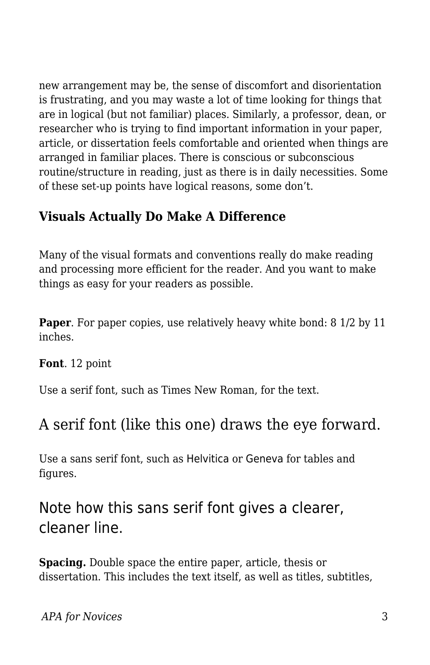new arrangement may be, the sense of discomfort and disorientation is frustrating, and you may waste a lot of time looking for things that are in logical (but not familiar) places. Similarly, a professor, dean, or researcher who is trying to find important information in your paper, article, or dissertation feels comfortable and oriented when things are arranged in familiar places. There is conscious or subconscious routine/structure in reading, just as there is in daily necessities. Some of these set-up points have logical reasons, some don't.

## **Visuals Actually Do Make A Difference**

Many of the visual formats and conventions really do make reading and processing more efficient for the reader. And you want to make things as easy for your readers as possible.

**Paper.** For paper copies, use relatively heavy white bond: 8 1/2 by 11 inches.

**Font**. 12 point

Use a serif font, such as Times New Roman, for the text.

## A serif font (like this one) draws the eye forward.

Use a sans serif font, such as Helvitica or Geneva for tables and figures.

## Note how this sans serif font gives a clearer, cleaner line.

**Spacing.** Double space the entire paper, article, thesis or dissertation. This includes the text itself, as well as titles, subtitles,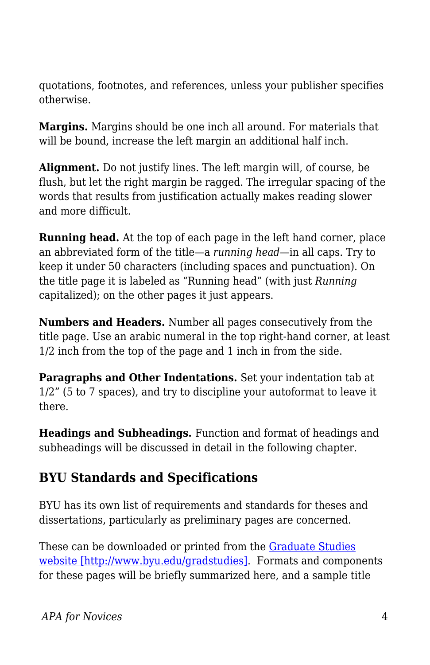quotations, footnotes, and references, unless your publisher specifies otherwise.

**Margins.** Margins should be one inch all around. For materials that will be bound, increase the left margin an additional half inch.

**Alignment.** Do not justify lines. The left margin will, of course, be flush, but let the right margin be ragged. The irregular spacing of the words that results from justification actually makes reading slower and more difficult.

**Running head.** At the top of each page in the left hand corner, place an abbreviated form of the title—a *running head—*in all caps. Try to keep it under 50 characters (including spaces and punctuation). On the title page it is labeled as "Running head" (with just *Running* capitalized); on the other pages it just appears.

**Numbers and Headers.** Number all pages consecutively from the title page. Use an arabic numeral in the top right-hand corner, at least 1/2 inch from the top of the page and 1 inch in from the side.

**Paragraphs and Other Indentations.** Set your indentation tab at 1/2" (5 to 7 spaces), and try to discipline your autoformat to leave it there.

**Headings and Subheadings.** Function and format of headings and subheadings will be discussed in detail in the following chapter.

## **BYU Standards and Specifications**

BYU has its own list of requirements and standards for theses and dissertations, particularly as preliminary pages are concerned.

These can be downloaded or printed from the [Graduate Studies](http://www.byu.edu/gradstudies) [website \[http://www.byu.edu/gradstudies\]](http://www.byu.edu/gradstudies). Formats and components for these pages will be briefly summarized here, and a sample title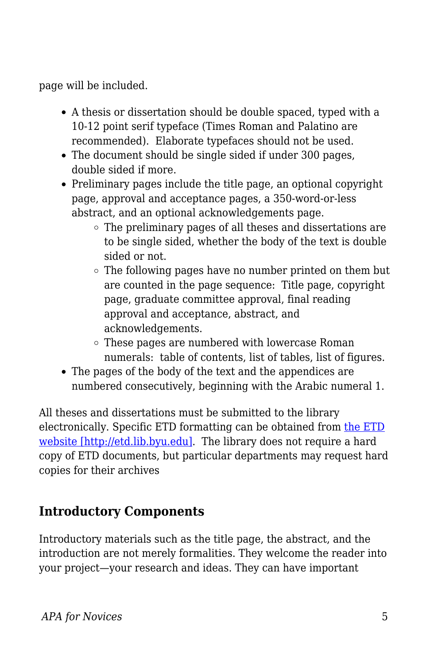page will be included.

- A thesis or dissertation should be double spaced, typed with a 10-12 point serif typeface (Times Roman and Palatino are recommended). Elaborate typefaces should not be used.
- The document should be single sided if under 300 pages, double sided if more.
- Preliminary pages include the title page, an optional copyright page, approval and acceptance pages, a 350-word-or-less abstract, and an optional acknowledgements page.
	- The preliminary pages of all theses and dissertations are to be single sided, whether the body of the text is double sided or not.
	- The following pages have no number printed on them but are counted in the page sequence: Title page, copyright page, graduate committee approval, final reading approval and acceptance, abstract, and acknowledgements.
	- These pages are numbered with lowercase Roman numerals: table of contents, list of tables, list of figures.
- The pages of the body of the text and the appendices are numbered consecutively, beginning with the Arabic numeral 1.

All theses and dissertations must be submitted to the library electronically. Specific ETD formatting can be obtained from [the ETD](http://etd.lib.byu.edu) [website \[http://etd.lib.byu.edu\]](http://etd.lib.byu.edu). The library does not require a hard copy of ETD documents, but particular departments may request hard copies for their archives

## **Introductory Components**

Introductory materials such as the title page, the abstract, and the introduction are not merely formalities. They welcome the reader into your project—your research and ideas. They can have important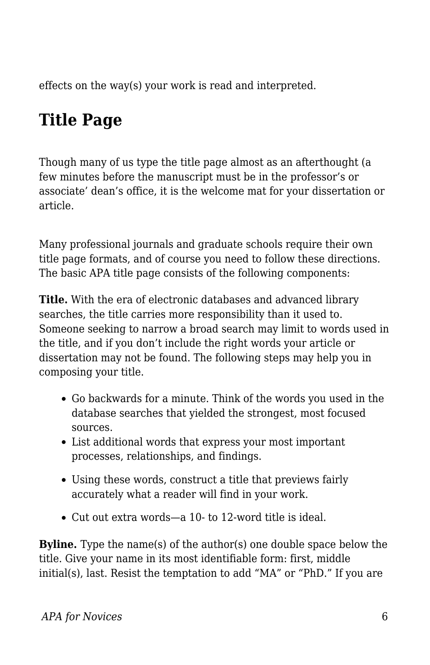effects on the way(s) your work is read and interpreted.

# **Title Page**

Though many of us type the title page almost as an afterthought (a few minutes before the manuscript must be in the professor's or associate' dean's office, it is the welcome mat for your dissertation or article.

Many professional journals and graduate schools require their own title page formats, and of course you need to follow these directions. The basic APA title page consists of the following components:

**Title.** With the era of electronic databases and advanced library searches, the title carries more responsibility than it used to. Someone seeking to narrow a broad search may limit to words used in the title, and if you don't include the right words your article or dissertation may not be found. The following steps may help you in composing your title.

- Go backwards for a minute. Think of the words you used in the database searches that yielded the strongest, most focused sources.
- List additional words that express your most important processes, relationships, and findings.
- Using these words, construct a title that previews fairly accurately what a reader will find in your work.
- Cut out extra words—a 10- to 12-word title is ideal.

**Byline.** Type the name(s) of the author(s) one double space below the title. Give your name in its most identifiable form: first, middle initial(s), last. Resist the temptation to add "MA" or "PhD." If you are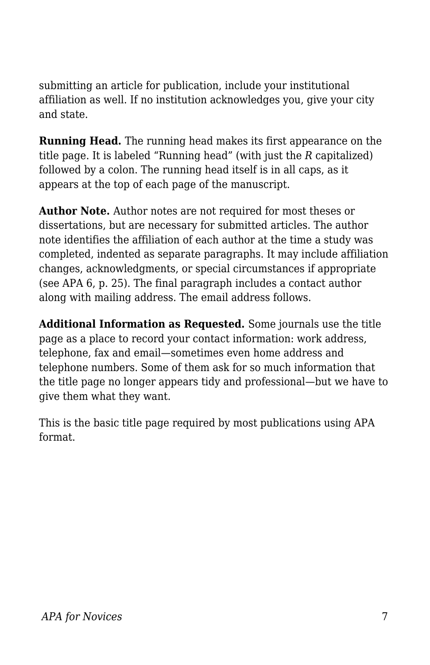submitting an article for publication, include your institutional affiliation as well. If no institution acknowledges you, give your city and state.

**Running Head.** The running head makes its first appearance on the title page. It is labeled "Running head" (with just the *R* capitalized) followed by a colon. The running head itself is in all caps, as it appears at the top of each page of the manuscript.

**Author Note.** Author notes are not required for most theses or dissertations, but are necessary for submitted articles. The author note identifies the affiliation of each author at the time a study was completed, indented as separate paragraphs. It may include affiliation changes, acknowledgments, or special circumstances if appropriate (see APA 6, p. 25). The final paragraph includes a contact author along with mailing address. The email address follows.

**Additional Information as Requested.** Some journals use the title page as a place to record your contact information: work address, telephone, fax and email—sometimes even home address and telephone numbers. Some of them ask for so much information that the title page no longer appears tidy and professional—but we have to give them what they want.

This is the basic title page required by most publications using APA format.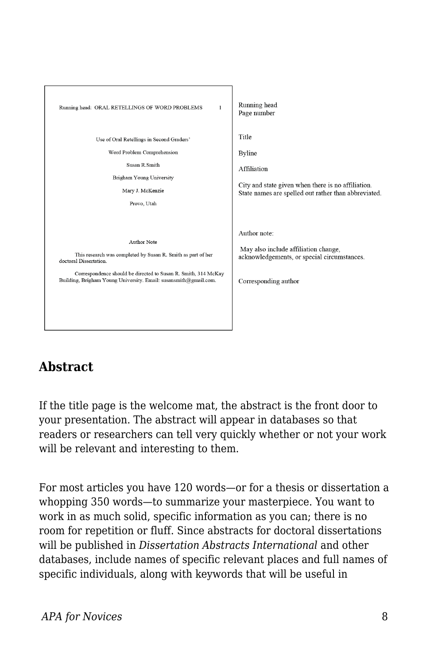

## **Abstract**

If the title page is the welcome mat, the abstract is the front door to your presentation. The abstract will appear in databases so that readers or researchers can tell very quickly whether or not your work will be relevant and interesting to them.

For most articles you have 120 words—or for a thesis or dissertation a whopping 350 words—to summarize your masterpiece. You want to work in as much solid, specific information as you can; there is no room for repetition or fluff. Since abstracts for doctoral dissertations will be published in *Dissertation Abstracts International* and other databases, include names of specific relevant places and full names of specific individuals, along with keywords that will be useful in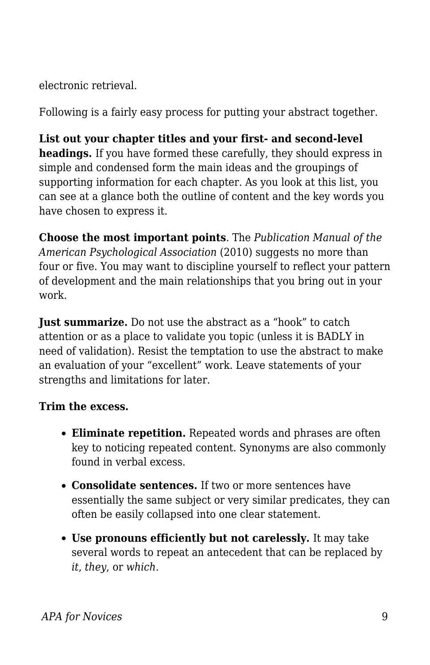electronic retrieval.

Following is a fairly easy process for putting your abstract together.

**List out your chapter titles and your first- and second-level headings.** If you have formed these carefully, they should express in simple and condensed form the main ideas and the groupings of supporting information for each chapter. As you look at this list, you can see at a glance both the outline of content and the key words you have chosen to express it.

**Choose the most important points**. The *Publication Manual of the American Psychological Association* (2010) suggests no more than four or five. You may want to discipline yourself to reflect your pattern of development and the main relationships that you bring out in your work.

**Just summarize.** Do not use the abstract as a "hook" to catch attention or as a place to validate you topic (unless it is BADLY in need of validation). Resist the temptation to use the abstract to make an evaluation of your "excellent" work. Leave statements of your strengths and limitations for later.

#### **Trim the excess.**

- **Eliminate repetition.** Repeated words and phrases are often key to noticing repeated content. Synonyms are also commonly found in verbal excess.
- **Consolidate sentences.** If two or more sentences have essentially the same subject or very similar predicates, they can often be easily collapsed into one clear statement.
- **Use pronouns efficiently but not carelessly.** It may take several words to repeat an antecedent that can be replaced by *it*, *they*, or *which*.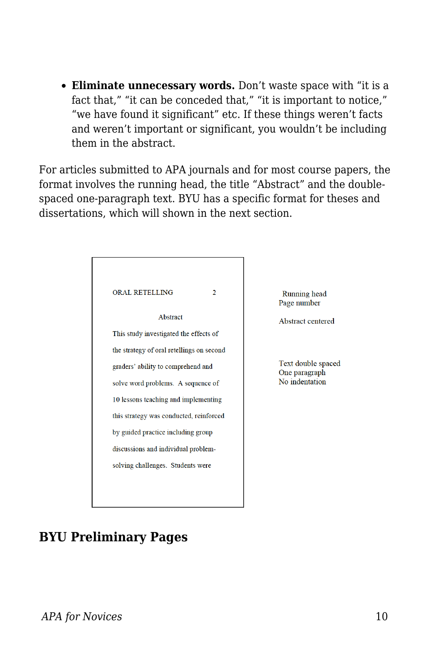**Eliminate unnecessary words.** Don't waste space with "it is a fact that," "it can be conceded that," "it is important to notice," "we have found it significant" etc. If these things weren't facts and weren't important or significant, you wouldn't be including them in the abstract.

For articles submitted to APA journals and for most course papers, the format involves the running head, the title "Abstract" and the doublespaced one-paragraph text. BYU has a specific format for theses and dissertations, which will shown in the next section.

| <b>ORAL RETELLING</b>                     | 2 |
|-------------------------------------------|---|
| Abstract                                  |   |
| This study investigated the effects of    |   |
| the strategy of oral retellings on second |   |
| graders' ability to comprehend and        |   |
| solve word problems. A sequence of        |   |
| 10 lessons teaching and implementing      |   |
| this strategy was conducted, reinforced   |   |
| by guided practice including group        |   |
| discussions and individual problem-       |   |
| solving challenges. Students were         |   |
|                                           |   |

Running head Page number

Abstract centered

Text double spaced One paragraph No indentation

## **BYU Preliminary Pages**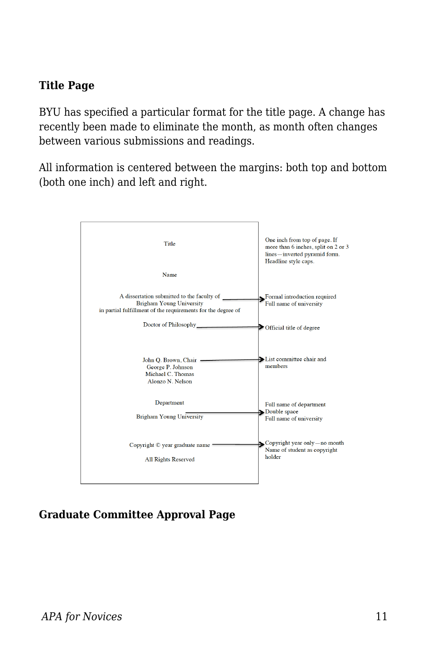#### **Title Page**

BYU has specified a particular format for the title page. A change has recently been made to eliminate the month, as month often changes between various submissions and readings.

All information is centered between the margins: both top and bottom (both one inch) and left and right.



#### **Graduate Committee Approval Page**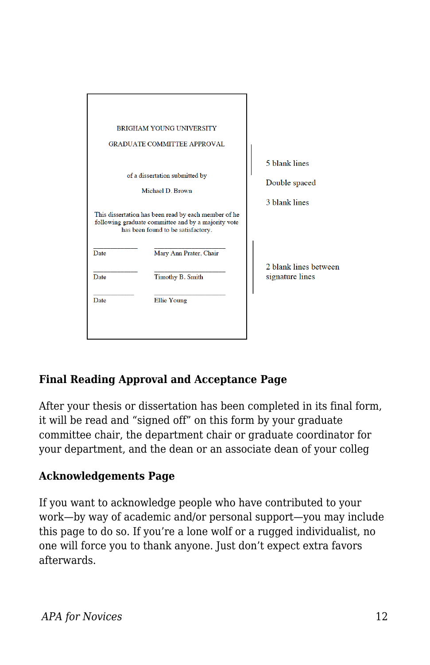|      | <b>BRIGHAM YOUNG UNIVERSITY</b><br><b>GRADUATE COMMITTEE APPROVAL</b>                                                                                                       |                                                 |
|------|-----------------------------------------------------------------------------------------------------------------------------------------------------------------------------|-------------------------------------------------|
|      | of a dissertation submitted by<br>Michael D. Brown                                                                                                                          | 5 blank lines<br>Double spaced<br>3 blank lines |
| Date | This dissertation has been read by each member of he<br>following graduate committee and by a majority vote<br>has been found to be satisfactory.<br>Mary Ann Prater, Chair |                                                 |
| Date | Timothy B. Smith                                                                                                                                                            | 2 blank lines between<br>signature lines        |
| Date | Ellie Young                                                                                                                                                                 |                                                 |

#### **Final Reading Approval and Acceptance Page**

After your thesis or dissertation has been completed in its final form, it will be read and "signed off" on this form by your graduate committee chair, the department chair or graduate coordinator for your department, and the dean or an associate dean of your colleg

#### **Acknowledgements Page**

If you want to acknowledge people who have contributed to your work—by way of academic and/or personal support—you may include this page to do so. If you're a lone wolf or a rugged individualist, no one will force you to thank anyone. Just don't expect extra favors afterwards.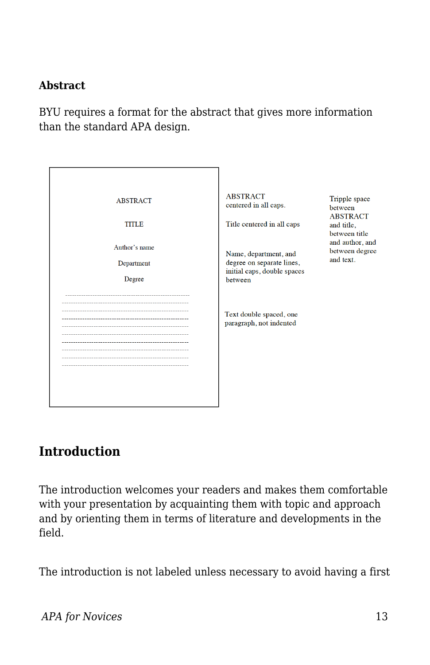#### **Abstract**

BYU requires a format for the abstract that gives more information than the standard APA design.

| <b>ABSTRACT</b><br><b>TITLE</b><br>Author's name<br>Department<br>Degree | <b>ABSTRACT</b><br>centered in all caps.<br>Title centered in all caps<br>Name, department, and<br>degree on separate lines,<br>initial caps, double spaces<br>between<br>Text double spaced, one<br>paragraph, not indented | Tripple space<br>between<br><b>ABSTRACT</b><br>and title,<br>between title<br>and author, and<br>between degree<br>and text. |
|--------------------------------------------------------------------------|------------------------------------------------------------------------------------------------------------------------------------------------------------------------------------------------------------------------------|------------------------------------------------------------------------------------------------------------------------------|
|                                                                          |                                                                                                                                                                                                                              |                                                                                                                              |

## **Introduction**

The introduction welcomes your readers and makes them comfortable with your presentation by acquainting them with topic and approach and by orienting them in terms of literature and developments in the field.

The introduction is not labeled unless necessary to avoid having a first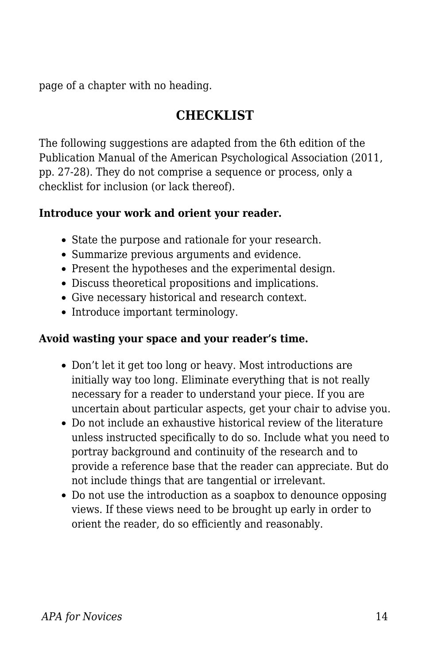page of a chapter with no heading.

### **CHECKLIST**

The following suggestions are adapted from the 6th edition of the Publication Manual of the American Psychological Association (2011, pp. 27-28). They do not comprise a sequence or process, only a checklist for inclusion (or lack thereof).

#### **Introduce your work and orient your reader.**

- State the purpose and rationale for your research.
- Summarize previous arguments and evidence.
- Present the hypotheses and the experimental design.
- Discuss theoretical propositions and implications.
- Give necessary historical and research context.
- Introduce important terminology.

#### **Avoid wasting your space and your reader's time.**

- Don't let it get too long or heavy. Most introductions are initially way too long. Eliminate everything that is not really necessary for a reader to understand your piece. If you are uncertain about particular aspects, get your chair to advise you.
- Do not include an exhaustive historical review of the literature unless instructed specifically to do so. Include what you need to portray background and continuity of the research and to provide a reference base that the reader can appreciate. But do not include things that are tangential or irrelevant.
- Do not use the introduction as a soapbox to denounce opposing views. If these views need to be brought up early in order to orient the reader, do so efficiently and reasonably.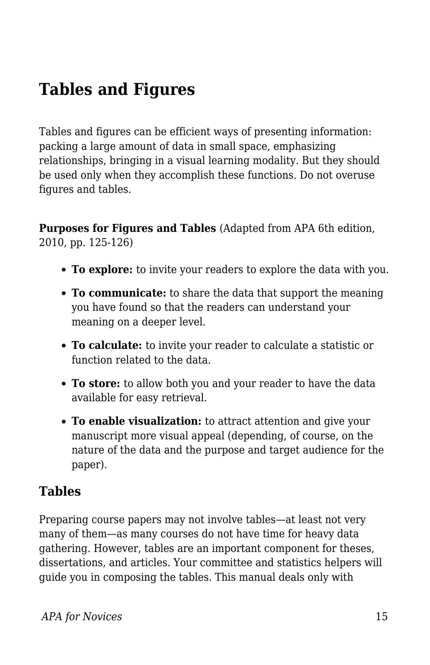# **Tables and Figures**

Tables and figures can be efficient ways of presenting information: packing a large amount of data in small space, emphasizing relationships, bringing in a visual learning modality. But they should be used only when they accomplish these functions. Do not overuse figures and tables.

**Purposes for Figures and Tables** (Adapted from APA 6th edition, 2010, pp. 125-126)

- **To explore:** to invite your readers to explore the data with you.
- **To communicate:** to share the data that support the meaning you have found so that the readers can understand your meaning on a deeper level.
- **To calculate:** to invite your reader to calculate a statistic or function related to the data.
- **To store:** to allow both you and your reader to have the data available for easy retrieval.
- **To enable visualization:** to attract attention and give your manuscript more visual appeal (depending, of course, on the nature of the data and the purpose and target audience for the paper).

### **Tables**

Preparing course papers may not involve tables—at least not very many of them—as many courses do not have time for heavy data gathering. However, tables are an important component for theses, dissertations, and articles. Your committee and statistics helpers will guide you in composing the tables. This manual deals only with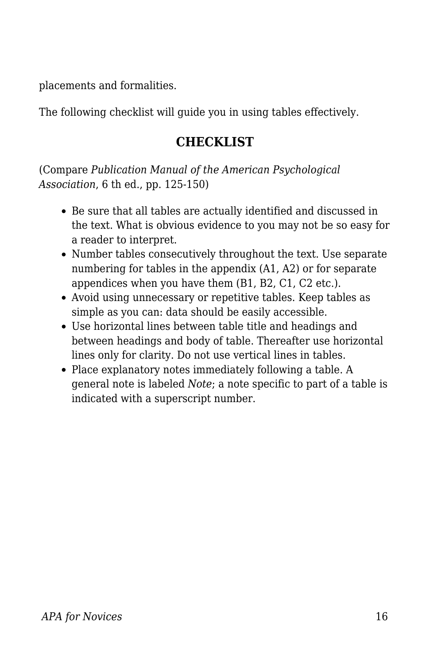placements and formalities.

The following checklist will guide you in using tables effectively.

## **CHECKLIST**

(Compare *Publication Manual of the American Psychological Association*, 6 th ed., pp. 125-150)

- Be sure that all tables are actually identified and discussed in the text. What is obvious evidence to you may not be so easy for a reader to interpret.
- Number tables consecutively throughout the text. Use separate numbering for tables in the appendix (A1, A2) or for separate appendices when you have them (B1, B2, C1, C2 etc.).
- Avoid using unnecessary or repetitive tables. Keep tables as simple as you can: data should be easily accessible.
- Use horizontal lines between table title and headings and between headings and body of table. Thereafter use horizontal lines only for clarity. Do not use vertical lines in tables.
- Place explanatory notes immediately following a table. A general note is labeled *Note*; a note specific to part of a table is indicated with a superscript number.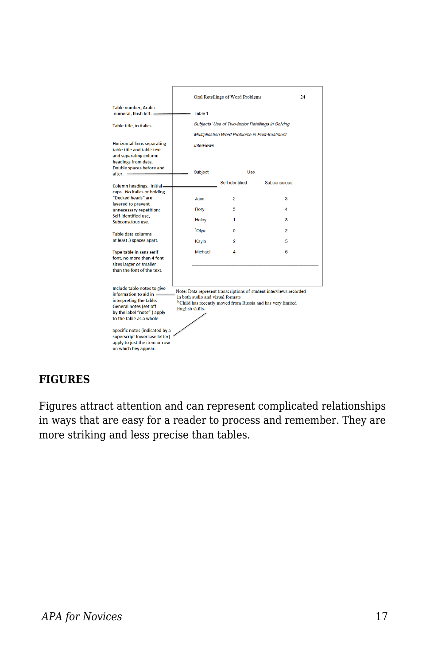|                                                                                                                                                                                                                                                                                                                                                                                                                                                                                                            |  | Oral Retellings of Word Problems<br>24            |                 |                |  |
|------------------------------------------------------------------------------------------------------------------------------------------------------------------------------------------------------------------------------------------------------------------------------------------------------------------------------------------------------------------------------------------------------------------------------------------------------------------------------------------------------------|--|---------------------------------------------------|-----------------|----------------|--|
| <b>Table number, Arabic</b><br>numeral, flush left. -                                                                                                                                                                                                                                                                                                                                                                                                                                                      |  | Table 1                                           |                 |                |  |
| Table title, in italics                                                                                                                                                                                                                                                                                                                                                                                                                                                                                    |  | Subjects' Use of Two-factor Retellings in Solving |                 |                |  |
|                                                                                                                                                                                                                                                                                                                                                                                                                                                                                                            |  | Multiplication Word Problems in Post-treatment    |                 |                |  |
| <b>Horizontal liens separating</b><br>table title and table text<br>and separating column                                                                                                                                                                                                                                                                                                                                                                                                                  |  | <b>Interviews</b>                                 |                 |                |  |
| headings from data.<br>Double spaces before and<br>after. -                                                                                                                                                                                                                                                                                                                                                                                                                                                |  | <b>Subject</b>                                    | Use             |                |  |
| <b>Column headings. Initial-</b>                                                                                                                                                                                                                                                                                                                                                                                                                                                                           |  |                                                   | Self-identified | Subconscious   |  |
| caps. No italics or bolding.<br>"Decked heads" are<br>lavered to prevent<br>unnecessary repetition:<br>Self-identified use,<br>Subconscious use.                                                                                                                                                                                                                                                                                                                                                           |  | Jace                                              | 2               | 3              |  |
|                                                                                                                                                                                                                                                                                                                                                                                                                                                                                                            |  | Rory                                              | 5               | 4              |  |
|                                                                                                                                                                                                                                                                                                                                                                                                                                                                                                            |  | Haley                                             | 1               | 3              |  |
| <b>Table data columns</b><br>at least 3 spaces apart.                                                                                                                                                                                                                                                                                                                                                                                                                                                      |  | <sup>b</sup> Olya                                 | $\overline{0}$  | $\overline{a}$ |  |
|                                                                                                                                                                                                                                                                                                                                                                                                                                                                                                            |  | Kayla                                             | 2               | 5              |  |
| <b>Type table in sans serif</b><br>font, no more than 4 font<br>sizes larger or smaller<br>than the font of the text.                                                                                                                                                                                                                                                                                                                                                                                      |  | Michael                                           | 4               | 6              |  |
| Include table notes to give<br>Note: Data represent transcriptions of student interviews recorded<br>information to aid in $=$<br>in both audio and visual formats<br>interpreting the table.<br><sup>b</sup> Child has recently moved from Russia and has very limited<br>General notes (set off<br>English skills.<br>by the label "note") apply<br>to the table as a whole.<br>Specific notes (indicated by a<br>superscript lowercase letter)<br>apply to just the item or row<br>on which hey appear. |  |                                                   |                 |                |  |

#### **FIGURES**

Figures attract attention and can represent complicated relationships in ways that are easy for a reader to process and remember. They are more striking and less precise than tables.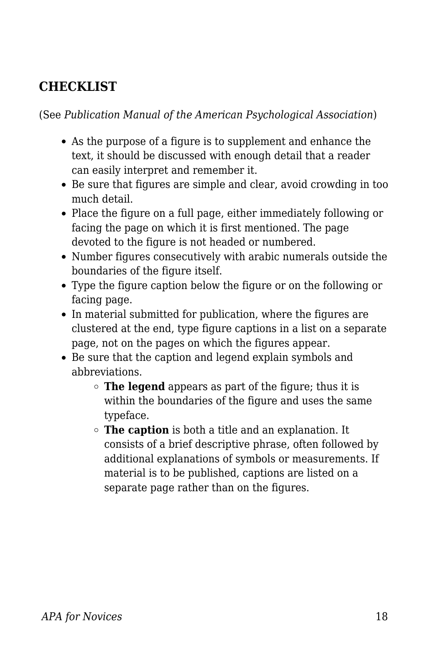## **CHECKLIST**

(See *Publication Manual of the American Psychological Association*)

- As the purpose of a figure is to supplement and enhance the text, it should be discussed with enough detail that a reader can easily interpret and remember it.
- Be sure that figures are simple and clear, avoid crowding in too much detail.
- Place the figure on a full page, either immediately following or facing the page on which it is first mentioned. The page devoted to the figure is not headed or numbered.
- Number figures consecutively with arabic numerals outside the boundaries of the figure itself.
- Type the figure caption below the figure or on the following or facing page.
- In material submitted for publication, where the figures are clustered at the end, type figure captions in a list on a separate page, not on the pages on which the figures appear.
- Be sure that the caption and legend explain symbols and abbreviations.
	- **The legend** appears as part of the figure; thus it is within the boundaries of the figure and uses the same typeface.
	- **The caption** is both a title and an explanation. It consists of a brief descriptive phrase, often followed by additional explanations of symbols or measurements. If material is to be published, captions are listed on a separate page rather than on the figures.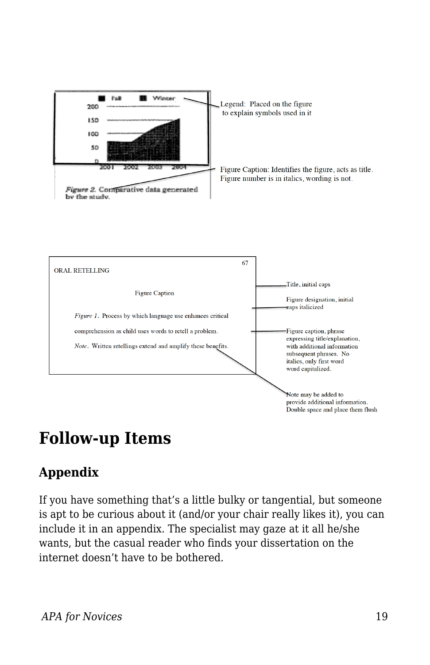



## **Follow-up Items**

## **Appendix**

If you have something that's a little bulky or tangential, but someone is apt to be curious about it (and/or your chair really likes it), you can include it in an appendix. The specialist may gaze at it all he/she wants, but the casual reader who finds your dissertation on the internet doesn't have to be bothered.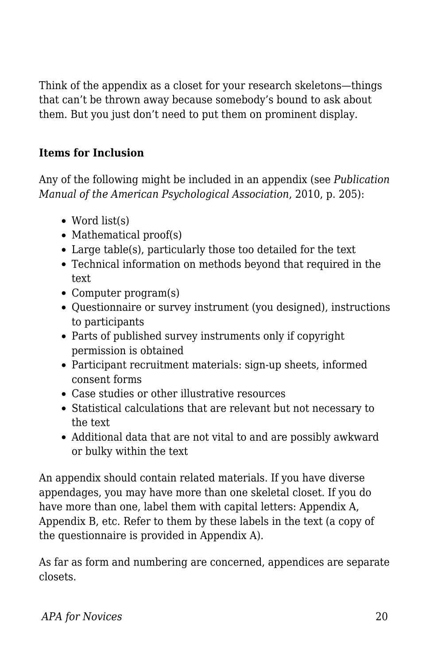Think of the appendix as a closet for your research skeletons—things that can't be thrown away because somebody's bound to ask about them. But you just don't need to put them on prominent display.

### **Items for Inclusion**

Any of the following might be included in an appendix (see *Publication Manual of the American Psychological Association*, 2010, p. 205):

- Word list(s)
- $\bullet$  Mathematical proof(s)
- Large table(s), particularly those too detailed for the text
- Technical information on methods beyond that required in the text
- Computer program(s)
- Questionnaire or survey instrument (you designed), instructions to participants
- Parts of published survey instruments only if copyright permission is obtained
- Participant recruitment materials: sign-up sheets, informed consent forms
- Case studies or other illustrative resources
- Statistical calculations that are relevant but not necessary to the text
- Additional data that are not vital to and are possibly awkward or bulky within the text

An appendix should contain related materials. If you have diverse appendages, you may have more than one skeletal closet. If you do have more than one, label them with capital letters: Appendix A, Appendix B, etc. Refer to them by these labels in the text (a copy of the questionnaire is provided in Appendix A).

As far as form and numbering are concerned, appendices are separate closets.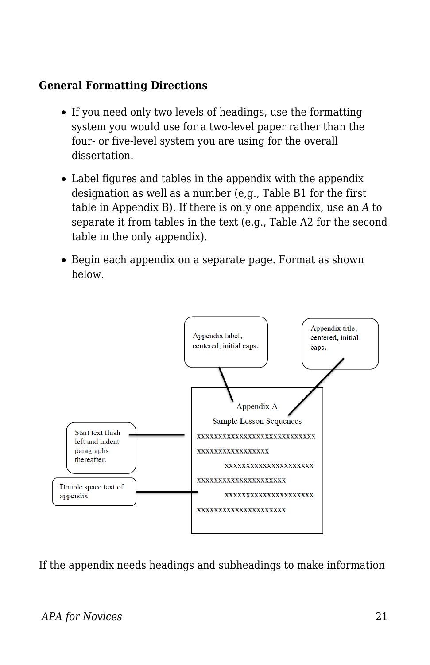#### **General Formatting Directions**

- If you need only two levels of headings, use the formatting system you would use for a two-level paper rather than the four- or five-level system you are using for the overall dissertation.
- Label figures and tables in the appendix with the appendix designation as well as a number (e,g., Table B1 for the first table in Appendix B). If there is only one appendix, use an *A* to separate it from tables in the text (e.g., Table A2 for the second table in the only appendix).
- Begin each appendix on a separate page. Format as shown below.



If the appendix needs headings and subheadings to make information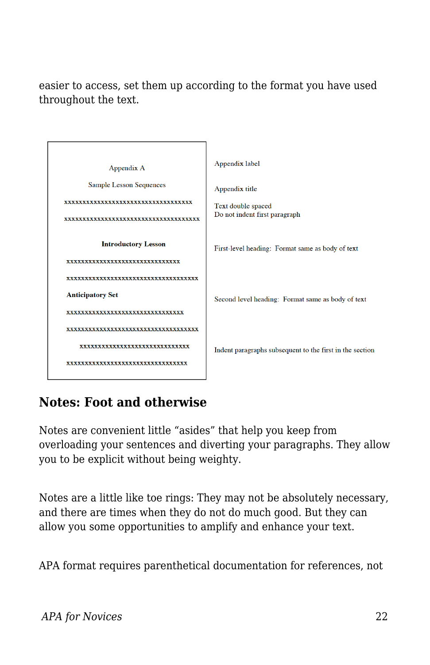easier to access, set them up according to the format you have used throughout the text.



## **Notes: Foot and otherwise**

Notes are convenient little "asides" that help you keep from overloading your sentences and diverting your paragraphs. They allow you to be explicit without being weighty.

Notes are a little like toe rings: They may not be absolutely necessary, and there are times when they do not do much good. But they can allow you some opportunities to amplify and enhance your text.

APA format requires parenthetical documentation for references, not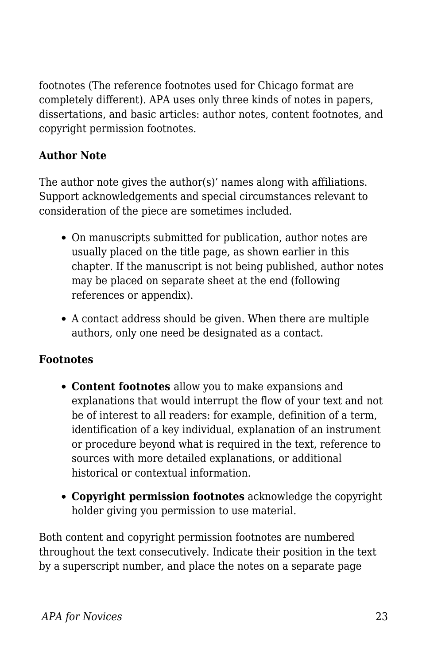footnotes (The reference footnotes used for Chicago format are completely different). APA uses only three kinds of notes in papers, dissertations, and basic articles: author notes, content footnotes, and copyright permission footnotes.

### **Author Note**

The author note gives the author(s)' names along with affiliations. Support acknowledgements and special circumstances relevant to consideration of the piece are sometimes included.

- On manuscripts submitted for publication, author notes are usually placed on the title page, as shown earlier in this chapter. If the manuscript is not being published, author notes may be placed on separate sheet at the end (following references or appendix).
- A contact address should be given. When there are multiple authors, only one need be designated as a contact.

#### **Footnotes**

- **Content footnotes** allow you to make expansions and explanations that would interrupt the flow of your text and not be of interest to all readers: for example, definition of a term, identification of a key individual, explanation of an instrument or procedure beyond what is required in the text, reference to sources with more detailed explanations, or additional historical or contextual information.
- **Copyright permission footnotes** acknowledge the copyright holder giving you permission to use material.

Both content and copyright permission footnotes are numbered throughout the text consecutively. Indicate their position in the text by a superscript number, and place the notes on a separate page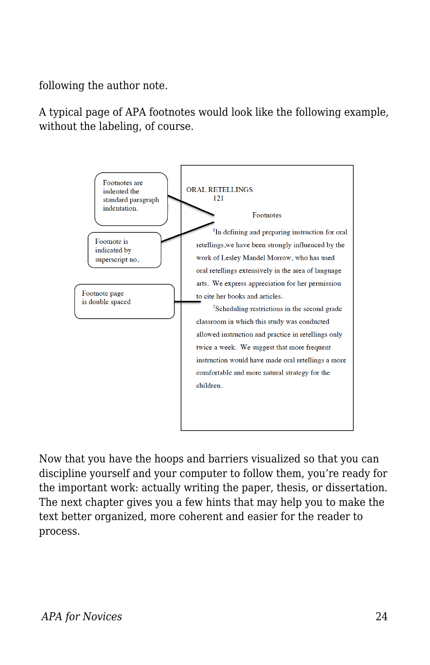following the author note.

A typical page of APA footnotes would look like the following example, without the labeling, of course.



Now that you have the hoops and barriers visualized so that you can discipline yourself and your computer to follow them, you're ready for the important work: actually writing the paper, thesis, or dissertation. The next chapter gives you a few hints that may help you to make the text better organized, more coherent and easier for the reader to process.